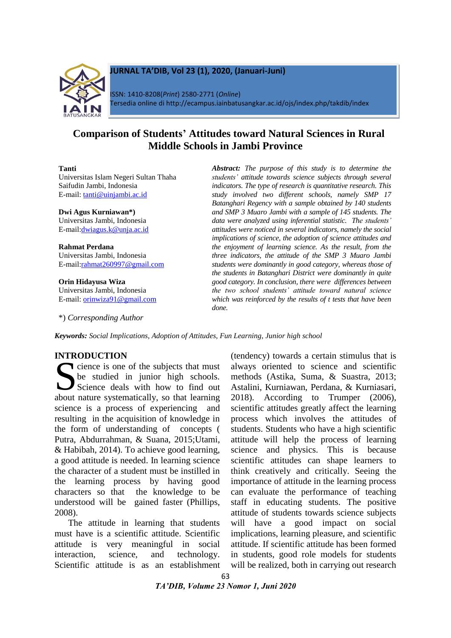

# **JURNAL TA'DIB, Vol 23 (1), 2020, (Januari-Juni)**

ISSN: 1410-8208(*Print*) 2580-2771 (*Online*) Tersedia online di http://ecampus.iainbatusangkar.ac.id/ojs/index.php/takdib/index

# **Comparison of Students' Attitudes toward Natural Sciences in Rural Middle Schools in Jambi Province**

#### **Tanti**

Universitas Islam Negeri Sultan Thaha Saifudin Jambi, Indonesia E-mail: [tanti@uinjambi.ac.id](mailto:tanti@uinjambi.ac.id)

**Dwi Agus Kurniawan\*)** Universitas Jambi, Indonesia E-mail[:dwiagus.k@unja.ac.id](mailto:dwiagus.k@unja.ac.id)

**Rahmat Perdana** Universitas Jambi, Indonesia E-mail[:rahmat260997@gmail.com](mailto:rahmat260997@gmail.com)

**Orin Hidayusa Wiza** Universitas Jambi, Indonesia E-mail: [orinwiza91@gmail.com](mailto:orinwiza91@gmail.com)

\*) *Corresponding Author*

*Abstract: The purpose of this study is to determine the students' attitude towards science subjects through several indicators. The type of research is quantitative research. This study involved two different schools, namely SMP 17 Batanghari Regency with a sample obtained by 140 students and SMP 3 Muaro Jambi with a sample of 145 students. The data were analyzed using inferential statistic. The students' attitudes were noticed in several indicators, namely the social implications of science, the adoption of science attitudes and the enjoyment of learning science. As the result, from the three indicators, the attitude of the SMP 3 Muaro Jambi students were dominantly in good category, whereas those of the students in Batanghari District were dominantly in quite good category. In conclusion, there were differences between the two school students' attitude toward natural science which was reinforced by the results of t tests that have been done.*

*Keywords: Social Implications, Adoption of Attitudes, Fun Learning, Junior high school*

## **INTRODUCTION**

cience is one of the subjects that must be studied in junior high schools. Science deals with how to find out Science is one of the subjects that must<br>be studied in junior high schools.<br>Science deals with how to find out<br>about nature systematically, so that learning science is a process of experiencing and resulting in the acquisition of knowledge in the form of understanding of concepts ( Putra, Abdurrahman, & Suana, 2015;Utami, & Habibah, 2014). To achieve good learning, a good attitude is needed. In learning science the character of a student must be instilled in the learning process by having good characters so that the knowledge to be understood will be gained faster (Phillips, 2008).

The attitude in learning that students must have is a scientific attitude. Scientific attitude is very meaningful in social interaction, science, and technology. Scientific attitude is as an establishment

(tendency) towards a certain stimulus that is always oriented to science and scientific methods (Astika, Suma, & Suastra, 2013; Astalini, Kurniawan, Perdana, & Kurniasari, 2018). According to Trumper (2006), scientific attitudes greatly affect the learning process which involves the attitudes of students. Students who have a high scientific attitude will help the process of learning science and physics. This is because scientific attitudes can shape learners to think creatively and critically. Seeing the importance of attitude in the learning process can evaluate the performance of teaching staff in educating students. The positive attitude of students towards science subjects will have a good impact on social implications, learning pleasure, and scientific attitude. If scientific attitude has been formed in students, good role models for students will be realized, both in carrying out research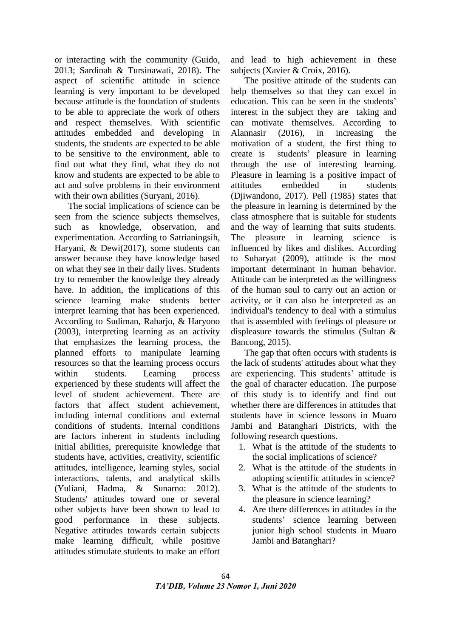or interacting with the community (Guido, 2013; Sardinah & Tursinawati, 2018). The aspect of scientific attitude in science learning is very important to be developed because attitude is the foundation of students to be able to appreciate the work of others and respect themselves. With scientific attitudes embedded and developing in students, the students are expected to be able to be sensitive to the environment, able to find out what they find, what they do not know and students are expected to be able to act and solve problems in their environment with their own abilities (Survani, 2016).

The social implications of science can be seen from the science subjects themselves, such as knowledge, observation, and experimentation. According to Satrianingsih, Haryani, & Dewi(2017), some students can answer because they have knowledge based on what they see in their daily lives. Students try to remember the knowledge they already have. In addition, the implications of this science learning make students better interpret learning that has been experienced. According to Sudiman, Raharjo, & Haryono (2003), interpreting learning as an activity that emphasizes the learning process, the planned efforts to manipulate learning resources so that the learning process occurs within students. Learning process experienced by these students will affect the level of student achievement. There are factors that affect student achievement, including internal conditions and external conditions of students. Internal conditions are factors inherent in students including initial abilities, prerequisite knowledge that students have, activities, creativity, scientific attitudes, intelligence, learning styles, social interactions, talents, and analytical skills (Yuliani, Hadma, & Sunarno: 2012). Students' attitudes toward one or several other subjects have been shown to lead to good performance in these subjects. Negative attitudes towards certain subjects make learning difficult, while positive attitudes stimulate students to make an effort

and lead to high achievement in these subjects (Xavier & Croix, 2016).

The positive attitude of the students can help themselves so that they can excel in education. This can be seen in the students' interest in the subject they are taking and can motivate themselves. According to Alannasir (2016), in increasing the motivation of a student, the first thing to create is students' pleasure in learning through the use of interesting learning. Pleasure in learning is a positive impact of attitudes embedded in students (Djiwandono, 2017). Pell (1985) states that the pleasure in learning is determined by the class atmosphere that is suitable for students and the way of learning that suits students. The pleasure in learning science is influenced by likes and dislikes. According to Suharyat (2009), attitude is the most important determinant in human behavior. Attitude can be interpreted as the willingness of the human soul to carry out an action or activity, or it can also be interpreted as an individual's tendency to deal with a stimulus that is assembled with feelings of pleasure or displeasure towards the stimulus (Sultan & Bancong, 2015).

The gap that often occurs with students is the lack of students' attitudes about what they are experiencing. This students' attitude is the goal of character education. The purpose of this study is to identify and find out whether there are differences in attitudes that students have in science lessons in Muaro Jambi and Batanghari Districts, with the following research questions.

- 1. What is the attitude of the students to the social implications of science?
- 2. What is the attitude of the students in adopting scientific attitudes in science?
- 3. What is the attitude of the students to the pleasure in science learning?
- 4. Are there differences in attitudes in the students' science learning between junior high school students in Muaro Jambi and Batanghari?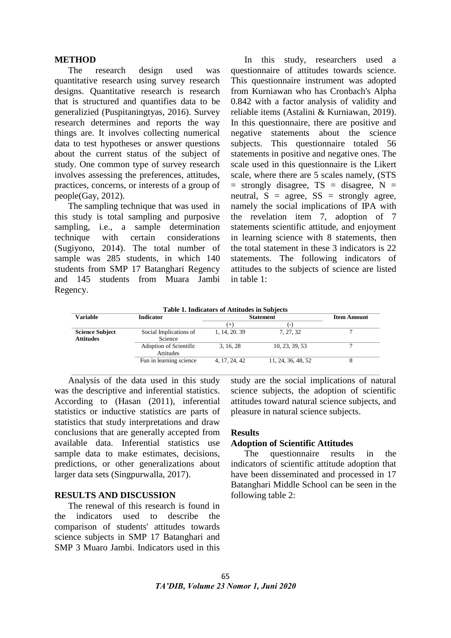#### **METHOD**

The research design used was quantitative research using survey research designs. Quantitative research is research that is structured and quantifies data to be generalizied (Puspitaningtyas, 2016). Survey research determines and reports the way things are. It involves collecting numerical data to test hypotheses or answer questions about the current status of the subject of study. One common type of survey research involves assessing the preferences, attitudes, practices, concerns, or interests of a group of people(Gay, 2012).

The sampling technique that was used in this study is total sampling and purposive sampling, i.e., a sample determination technique with certain considerations (Sugiyono, 2014). The total number of sample was 285 students, in which 140 students from SMP 17 Batanghari Regency and 145 students from Muara Jambi Regency.

In this study, researchers used a questionnaire of attitudes towards science. This questionnaire instrument was adopted from Kurniawan who has Cronbach's Alpha 0.842 with a factor analysis of validity and reliable items (Astalini & Kurniawan, 2019). In this questionnaire, there are positive and negative statements about the science subjects. This questionnaire totaled 56 statements in positive and negative ones. The scale used in this questionnaire is the Likert scale, where there are 5 scales namely, (STS  $=$  strongly disagree, TS  $=$  disagree, N  $=$ neutral,  $S = agree$ ,  $SS = strongly agree$ , namely the social implications of IPA with the revelation item 7, adoption of 7 statements scientific attitude, and enjoyment in learning science with 8 statements, then the total statement in these 3 indicators is 22 statements. The following indicators of attitudes to the subjects of science are listed in table 1:

**Table 1. Indicators of Attitudes in Subjects**

| Variable                            | <b>Indicator</b>                    | <b>Statement</b> | <b>Item Amount</b> |  |
|-------------------------------------|-------------------------------------|------------------|--------------------|--|
|                                     |                                     | $^+$             | ( –                |  |
| <b>Science Subject</b><br>Attitudes | Social Implications of<br>Science   | 1, 14, 20, 39    | 7, 27, 32          |  |
|                                     | Adoption of Scientific<br>Attitudes | 3, 16, 28        | 10, 23, 39, 53     |  |
|                                     | Fun in learning science             | 4, 17, 24, 42    | 11, 24, 36, 48, 52 |  |

Analysis of the data used in this study was the descriptive and inferential statistics. According to (Hasan (2011), inferential statistics or inductive statistics are parts of statistics that study interpretations and draw conclusions that are generally accepted from available data. Inferential statistics use sample data to make estimates, decisions, predictions, or other generalizations about larger data sets (Singpurwalla, 2017).

## **RESULTS AND DISCUSSION**

The renewal of this research is found in the indicators used to describe the comparison of students' attitudes towards science subjects in SMP 17 Batanghari and SMP 3 Muaro Jambi. Indicators used in this

study are the social implications of natural science subjects, the adoption of scientific attitudes toward natural science subjects, and pleasure in natural science subjects.

## **Results**

## **Adoption of Scientific Attitudes**

The questionnaire results in the indicators of scientific attitude adoption that have been disseminated and processed in 17 Batanghari Middle School can be seen in the following table 2: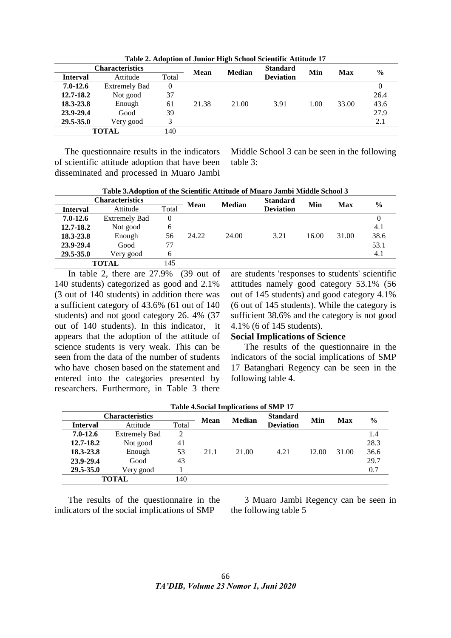|                 | <b>Characteristics</b> |          | <b>Mean</b> | <b>Median</b> | <b>Standard</b>  | Min  | <b>Max</b> | $\frac{6}{9}$ |
|-----------------|------------------------|----------|-------------|---------------|------------------|------|------------|---------------|
| <b>Interval</b> | Attitude               | Total    |             |               | <b>Deviation</b> |      |            |               |
| $7.0 - 12.6$    | <b>Extremely Bad</b>   | $\theta$ |             |               |                  |      |            |               |
| 12.7-18.2       | Not good               | 37       |             |               |                  |      |            | 26.4          |
| 18.3-23.8       | Enough                 | 61       | 21.38       | 21.00         | 3.91             | 1.00 | 33.00      | 43.6          |
| 23.9-29.4       | Good                   | 39       |             |               |                  |      |            | 27.9          |
| 29.5-35.0       | Very good              |          |             |               |                  |      |            | 2.1           |
|                 | TOTAL                  | 140      |             |               |                  |      |            |               |

**Table 2. Adoption of Junior High School Scientific Attitude 17**

The questionnaire results in the indicators of scientific attitude adoption that have been disseminated and processed in Muaro Jambi

Middle School 3 can be seen in the following table 3:

**Table 3.Adoption of the Scientific Attitude of Muaro Jambi Middle School 3**

| <b>Characteristics</b> |                      | <b>Median</b><br><b>Mean</b> | <b>Standard</b> | Min   | Max              | $\frac{0}{0}$ |       |      |
|------------------------|----------------------|------------------------------|-----------------|-------|------------------|---------------|-------|------|
| <b>Interval</b>        | Attitude             | Total                        |                 |       | <b>Deviation</b> |               |       |      |
| $7.0 - 12.6$           | <b>Extremely Bad</b> | 0                            |                 |       |                  |               |       |      |
| 12.7-18.2              | Not good             | 6                            |                 |       |                  |               |       | 4.1  |
| 18.3-23.8              | Enough               | 56                           | 24.22           | 24.00 | 3.21             | 16.00         | 31.00 | 38.6 |
| 23.9-29.4              | Good                 | 77                           |                 |       |                  |               |       | 53.1 |
| 29.5-35.0              | Very good            | 6                            |                 |       |                  |               |       | 4.1  |
|                        | TOTAL                | 145                          |                 |       |                  |               |       |      |

In table 2, there are 27.9% (39 out of 140 students) categorized as good and 2.1% (3 out of 140 students) in addition there was a sufficient category of 43.6% (61 out of 140 students) and not good category 26. 4% (37 out of 140 students). In this indicator, it appears that the adoption of the attitude of science students is very weak. This can be seen from the data of the number of students who have chosen based on the statement and entered into the categories presented by researchers. Furthermore, in Table 3 there are students 'responses to students' scientific attitudes namely good category 53.1% (56 out of 145 students) and good category 4.1% (6 out of 145 students). While the category is sufficient 38.6% and the category is not good 4.1% (6 of 145 students).

## **Social Implications of Science**

The results of the questionnaire in the indicators of the social implications of SMP 17 Batanghari Regency can be seen in the following table 4.

|                 |                        |       |             | <b>Table 4. Social Implications of SMP 17</b> |                  |       |       |               |
|-----------------|------------------------|-------|-------------|-----------------------------------------------|------------------|-------|-------|---------------|
|                 | <b>Characteristics</b> |       | <b>Mean</b> | <b>Median</b>                                 | <b>Standard</b>  | Min   | Max   | $\frac{6}{9}$ |
| <b>Interval</b> | Attitude               | Total |             |                                               | <b>Deviation</b> |       |       |               |
| $7.0 - 12.6$    | <b>Extremely Bad</b>   | 2     |             |                                               |                  |       |       | 1.4           |
| 12.7-18.2       | Not good               | 41    |             |                                               |                  |       |       | 28.3          |
| 18.3-23.8       | Enough                 | 53    | 21.1        | 21.00                                         | 4.21             | 12.00 | 31.00 | 36.6          |
| 23.9-29.4       | Good                   | 43    |             |                                               |                  |       |       | 29.7          |
| 29.5-35.0       | Very good              |       |             |                                               |                  |       |       | 0.7           |
|                 | <b>TOTAL</b>           | 140   |             |                                               |                  |       |       |               |

The results of the questionnaire in the indicators of the social implications of SMP

3 Muaro Jambi Regency can be seen in the following table 5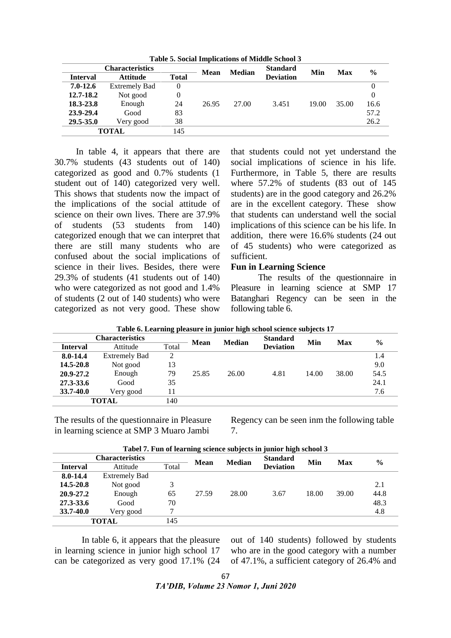**Table 5. Social Implications of Middle School 3**

|                 | <b>Characteristics</b> |              | <b>Mean</b> | <b>Median</b> | <b>Standard</b>  | Min   | Max   | $\frac{6}{9}$ |
|-----------------|------------------------|--------------|-------------|---------------|------------------|-------|-------|---------------|
| <b>Interval</b> | <b>Attitude</b>        | <b>Total</b> |             |               | <b>Deviation</b> |       |       |               |
| $7.0 - 12.6$    | <b>Extremely Bad</b>   | 0            |             |               |                  |       |       |               |
| 12.7-18.2       | Not good               | 0            |             |               |                  |       |       |               |
| 18.3-23.8       | Enough                 | 24           | 26.95       | 27.00         | 3.451            | 19.00 | 35.00 | 16.6          |
| 23.9-29.4       | Good                   | 83           |             |               |                  |       |       | 57.2          |
| 29.5-35.0       | Very good              | 38           |             |               |                  |       |       | 26.2          |
|                 | TOTAL                  | 145          |             |               |                  |       |       |               |

In table 4, it appears that there are 30.7% students (43 students out of 140) categorized as good and 0.7% students (1 student out of 140) categorized very well. This shows that students now the impact of the implications of the social attitude of science on their own lives. There are 37.9% of students (53 students from 140) categorized enough that we can interpret that there are still many students who are confused about the social implications of science in their lives. Besides, there were 29.3% of students (41 students out of 140) who were categorized as not good and 1.4% of students (2 out of 140 students) who were categorized as not very good. These show that students could not yet understand the social implications of science in his life. Furthermore, in Table 5, there are results where 57.2% of students (83 out of 145 students) are in the good category and 26.2% are in the excellent category. These show that students can understand well the social implications of this science can be his life. In addition, there were 16.6% students (24 out of 45 students) who were categorized as sufficient.

## **Fun in Learning Science**

The results of the questionnaire in Pleasure in learning science at SMP 17 Batanghari Regency can be seen in the following table 6.

| Tuble of Eculianity premente in julior ingli behoof beferee bub jecto 17 |                        |       |             |               |                  |       |            |               |
|--------------------------------------------------------------------------|------------------------|-------|-------------|---------------|------------------|-------|------------|---------------|
|                                                                          | <b>Characteristics</b> |       | <b>Mean</b> | <b>Median</b> | <b>Standard</b>  | Min   | <b>Max</b> | $\frac{6}{6}$ |
| <b>Interval</b>                                                          | Attitude               | Total |             |               | <b>Deviation</b> |       |            |               |
| 8.0-14.4                                                                 | <b>Extremely Bad</b>   | 2     |             |               |                  |       |            | 1.4           |
| 14.5-20.8                                                                | Not good               | 13    |             |               |                  |       |            | 9.0           |
| 20.9-27.2                                                                | Enough                 | 79    | 25.85       | 26.00         | 4.81             | 14.00 | 38.00      | 54.5          |
| 27.3-33.6                                                                | Good                   | 35    |             |               |                  |       |            | 24.1          |
| 33.7-40.0                                                                | Very good              | 1     |             |               |                  |       |            | 7.6           |
|                                                                          | <b>TOTAL</b>           | 140   |             |               |                  |       |            |               |

**Table 6. Learning pleasure in junior high school science subjects 17**

The results of the questionnaire in Pleasure in learning science at SMP 3 Muaro Jambi

Regency can be seen inm the following table 7.

|                 |                        |       |             |               | Tabel 7. Fun of icarining science subjects in junior ingli school o |       |            |               |
|-----------------|------------------------|-------|-------------|---------------|---------------------------------------------------------------------|-------|------------|---------------|
|                 | <b>Characteristics</b> |       | <b>Mean</b> | <b>Median</b> | <b>Standard</b>                                                     | Min   | <b>Max</b> | $\frac{6}{9}$ |
| <b>Interval</b> | Attitude               | Total |             |               | <b>Deviation</b>                                                    |       |            |               |
| 8.0-14.4        | <b>Extremely Bad</b>   |       |             |               |                                                                     |       |            |               |
| 14.5-20.8       | Not good               | 3     |             |               |                                                                     |       |            | 2.1           |
| 20.9-27.2       | Enough                 | 65    | 27.59       | 28.00         | 3.67                                                                | 18.00 | 39.00      | 44.8          |
| 27.3-33.6       | Good                   | 70    |             |               |                                                                     |       |            | 48.3          |
| 33.7-40.0       | Very good              | ⇁     |             |               |                                                                     |       |            | 4.8           |
|                 | TOTAL                  | 145   |             |               |                                                                     |       |            |               |

**Tabel 7. Fun of learning science subjects in junior high school 3**

In table 6, it appears that the pleasure in learning science in junior high school 17 can be categorized as very good 17.1% (24

out of 140 students) followed by students who are in the good category with a number of 47.1%, a sufficient category of 26.4% and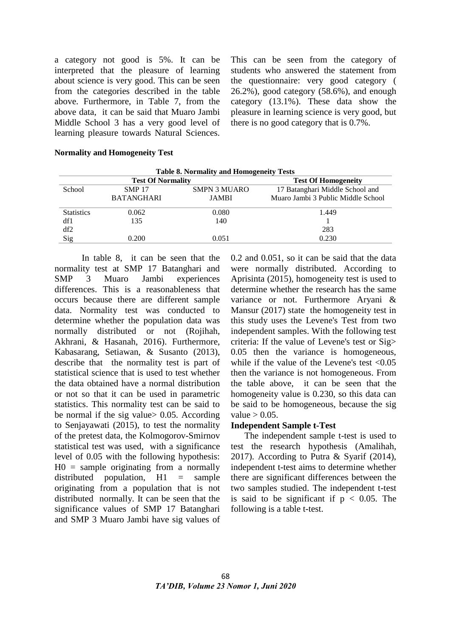a category not good is 5%. It can be interpreted that the pleasure of learning about science is very good. This can be seen from the categories described in the table above. Furthermore, in Table 7, from the above data, it can be said that Muaro Jambi Middle School 3 has a very good level of learning pleasure towards Natural Sciences.

This can be seen from the category of students who answered the statement from the questionnaire: very good category ( 26.2%), good category (58.6%), and enough category (13.1%). These data show the pleasure in learning science is very good, but there is no good category that is 0.7%.

#### **Normality and Homogeneity Test**

| <b>Table 8. Normality and Homogeneity Tests</b> |                          |                            |                                    |  |  |  |  |
|-------------------------------------------------|--------------------------|----------------------------|------------------------------------|--|--|--|--|
|                                                 | <b>Test Of Normality</b> | <b>Test Of Homogeneity</b> |                                    |  |  |  |  |
| School                                          | <b>SMP 17</b>            | <b>SMPN 3 MUARO</b>        | 17 Batanghari Middle School and    |  |  |  |  |
|                                                 | <b>BATANGHARI</b>        | <b>JAMBI</b>               | Muaro Jambi 3 Public Middle School |  |  |  |  |
| <b>Statistics</b>                               | 0.062                    | 0.080                      | 1.449                              |  |  |  |  |
| df1                                             | 135                      | 140                        |                                    |  |  |  |  |
| df2                                             |                          |                            | 283                                |  |  |  |  |
| Sig                                             | 0.200                    | 0.051                      | 0.230                              |  |  |  |  |

In table 8, it can be seen that the normality test at SMP 17 Batanghari and SMP 3 Muaro Jambi experiences differences. This is a reasonableness that occurs because there are different sample data. Normality test was conducted to determine whether the population data was normally distributed or not (Rojihah, Akhrani, & Hasanah, 2016). Furthermore, Kabasarang, Setiawan, & Susanto (2013), describe that the normality test is part of statistical science that is used to test whether the data obtained have a normal distribution or not so that it can be used in parametric statistics. This normality test can be said to be normal if the sig value> 0.05. According to Senjayawati (2015), to test the normality of the pretest data, the Kolmogorov-Smirnov statistical test was used, with a significance level of 0.05 with the following hypothesis:  $H0 =$  sample originating from a normally distributed population,  $H1 =$  sample originating from a population that is not distributed normally. It can be seen that the significance values of SMP 17 Batanghari and SMP 3 Muaro Jambi have sig values of

0.2 and 0.051, so it can be said that the data were normally distributed. According to Aprisinta (2015), homogeneity test is used to determine whether the research has the same variance or not. Furthermore Aryani & Mansur (2017) state the homogeneity test in this study uses the Levene's Test from two independent samples. With the following test criteria: If the value of Levene's test or Sig> 0.05 then the variance is homogeneous, while if the value of the Levene's test  $\langle 0.05 \rangle$ then the variance is not homogeneous. From the table above, it can be seen that the homogeneity value is 0.230, so this data can be said to be homogeneous, because the sig value  $> 0.05$ .

## **Independent Sample t-Test**

The independent sample t-test is used to test the research hypothesis (Amalihah, 2017). According to Putra & Syarif (2014), independent t-test aims to determine whether there are significant differences between the two samples studied. The independent t-test is said to be significant if  $p < 0.05$ . The following is a table t-test.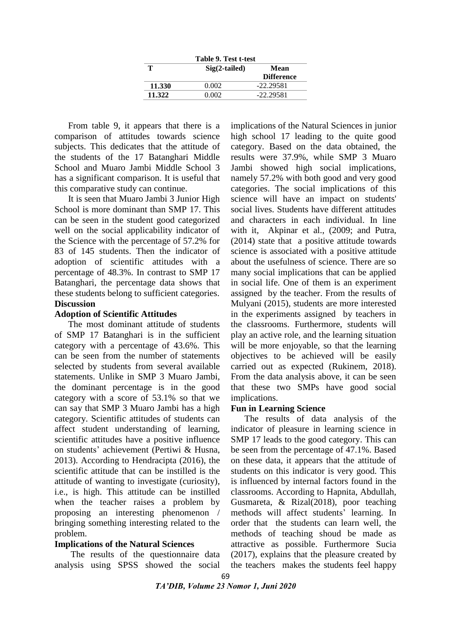| Table 9. Test t-test |                 |                   |  |  |  |
|----------------------|-----------------|-------------------|--|--|--|
|                      | $Sig(2-tailed)$ | Mean              |  |  |  |
|                      |                 | <b>Difference</b> |  |  |  |
| 11.330               | 0.002           | $-22.29581$       |  |  |  |
| 11.322               | 0.002           | -22.29581         |  |  |  |
|                      |                 |                   |  |  |  |

From table 9, it appears that there is a comparison of attitudes towards science subjects. This dedicates that the attitude of the students of the 17 Batanghari Middle School and Muaro Jambi Middle School 3 has a significant comparison. It is useful that this comparative study can continue.

It is seen that Muaro Jambi 3 Junior High School is more dominant than SMP 17. This can be seen in the student good categorized well on the social applicability indicator of the Science with the percentage of 57.2% for 83 of 145 students. Then the indicator of adoption of scientific attitudes with a percentage of 48.3%. In contrast to SMP 17 Batanghari, the percentage data shows that these students belong to sufficient categories. **Discussion**

## **Adoption of Scientific Attitudes**

The most dominant attitude of students of SMP 17 Batanghari is in the sufficient category with a percentage of 43.6%. This can be seen from the number of statements selected by students from several available statements. Unlike in SMP 3 Muaro Jambi, the dominant percentage is in the good category with a score of 53.1% so that we can say that SMP 3 Muaro Jambi has a high category. Scientific attitudes of students can affect student understanding of learning, scientific attitudes have a positive influence on students' achievement (Pertiwi & Husna, 2013). According to Hendracipta (2016), the scientific attitude that can be instilled is the attitude of wanting to investigate (curiosity), i.e., is high. This attitude can be instilled when the teacher raises a problem by proposing an interesting phenomenon / bringing something interesting related to the problem.

## **Implications of the Natural Sciences**

The results of the questionnaire data analysis using SPSS showed the social implications of the Natural Sciences in junior high school 17 leading to the quite good category. Based on the data obtained, the results were 37.9%, while SMP 3 Muaro Jambi showed high social implications, namely 57.2% with both good and very good categories. The social implications of this science will have an impact on students' social lives. Students have different attitudes and characters in each individual. In line with it, Akpinar et al., (2009; and Putra, (2014) state that a positive attitude towards science is associated with a positive attitude about the usefulness of science. There are so many social implications that can be applied in social life. One of them is an experiment assigned by the teacher. From the results of Mulyani (2015), students are more interested in the experiments assigned by teachers in the classrooms. Furthermore, students will play an active role, and the learning situation will be more enjoyable, so that the learning objectives to be achieved will be easily carried out as expected (Rukinem, 2018). From the data analysis above, it can be seen that these two SMPs have good social implications.

## **Fun in Learning Science**

The results of data analysis of the indicator of pleasure in learning science in SMP 17 leads to the good category. This can be seen from the percentage of 47.1%. Based on these data, it appears that the attitude of students on this indicator is very good. This is influenced by internal factors found in the classrooms. According to Hapnita, Abdullah, Gusmareta, & Rizal(2018), poor teaching methods will affect students' learning. In order that the students can learn well, the methods of teaching shoud be made as attractive as possible. Furthermore Sucia (2017), explains that the pleasure created by the teachers makes the students feel happy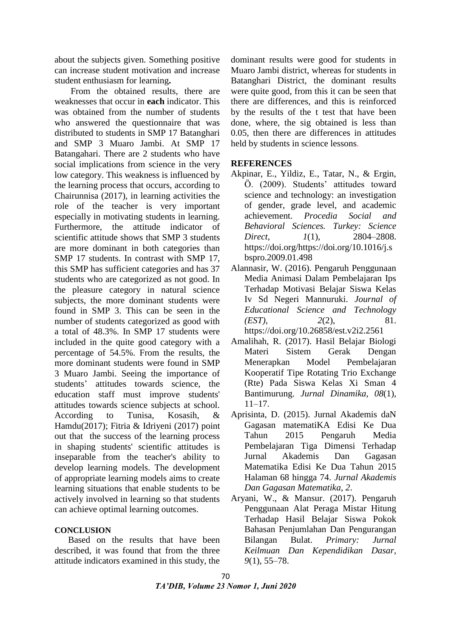about the subjects given. Something positive can increase student motivation and increase student enthusiasm for learning**.** 

From the obtained results, there are weaknesses that occur in **each** indicator. This was obtained from the number of students who answered the questionnaire that was distributed to students in SMP 17 Batanghari and SMP 3 Muaro Jambi. At SMP 17 Batangahari. There are 2 students who have social implications from science in the very low category. This weakness is influenced by the learning process that occurs, according to Chairunnisa (2017), in learning activities the role of the teacher is very important especially in motivating students in learning. Furthermore, the attitude indicator of scientific attitude shows that SMP 3 students are more dominant in both categories than SMP 17 students. In contrast with SMP 17, this SMP has sufficient categories and has 37 students who are categorized as not good. In the pleasure category in natural science subjects, the more dominant students were found in SMP 3. This can be seen in the number of students categorized as good with a total of 48.3%. In SMP 17 students were included in the quite good category with a percentage of 54.5%. From the results, the more dominant students were found in SMP 3 Muaro Jambi. Seeing the importance of students' attitudes towards science, the education staff must improve students' attitudes towards science subjects at school. According to Tunisa, Kosasih, & Hamdu(2017); Fitria & Idriyeni (2017) point out that the success of the learning process in shaping students' scientific attitudes is inseparable from the teacher's ability to develop learning models. The development of appropriate learning models aims to create learning situations that enable students to be actively involved in learning so that students can achieve optimal learning outcomes.

## **CONCLUSION**

Based on the results that have been described, it was found that from the three attitude indicators examined in this study, the

dominant results were good for students in Muaro Jambi district, whereas for students in Batanghari District, the dominant results were quite good, from this it can be seen that there are differences, and this is reinforced by the results of the t test that have been done, where, the sig obtained is less than 0.05, then there are differences in attitudes held by students in science lessons.

## **REFERENCES**

- Akpinar, E., Yildiz, E., Tatar, N., & Ergin, Ö. (2009). Students' attitudes toward science and technology: an investigation of gender, grade level, and academic achievement. *Procedia Social and Behavioral Sciences. Turkey: Science Direct*, *1*(1), 2804–2808. https://doi.org/https://doi.org/10.1016/j.s bspro.2009.01.498
- Alannasir, W. (2016). Pengaruh Penggunaan Media Animasi Dalam Pembelajaran Ips Terhadap Motivasi Belajar Siswa Kelas Iv Sd Negeri Mannuruki. *Journal of Educational Science and Technology (EST)*, *2*(2), 81. https://doi.org/10.26858/est.v2i2.2561
- Amalihah, R. (2017). Hasil Belajar Biologi Materi Sistem Gerak Dengan Menerapkan Model Pembelajaran Kooperatif Tipe Rotating Trio Exchange (Rte) Pada Siswa Kelas Xi Sman 4 Bantimurung. *Jurnal Dinamika*, *08*(1), 11–17.
- Aprisinta, D. (2015). Jurnal Akademis daN Gagasan matematiKA Edisi Ke Dua Tahun 2015 Pengaruh Media Pembelajaran Tiga Dimensi Terhadap Jurnal Akademis Dan Gagasan Matematika Edisi Ke Dua Tahun 2015 Halaman 68 hingga 74. *Jurnal Akademis Dan Gagasan Matematika*, *2*.
- Aryani, W., & Mansur. (2017). Pengaruh Penggunaan Alat Peraga Mistar Hitung Terhadap Hasil Belajar Siswa Pokok Bahasan Penjumlahan Dan Pengurangan Bilangan Bulat. *Primary: Jurnal Keilmuan Dan Kependidikan Dasar*, *9*(1), 55–78.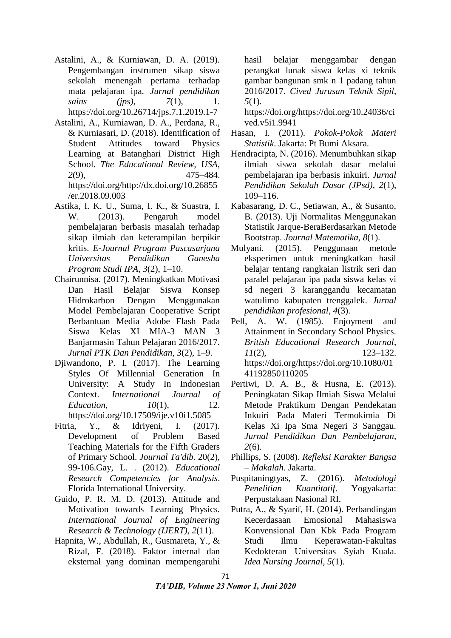- Astalini, A., & Kurniawan, D. A. (2019). Pengembangan instrumen sikap siswa sekolah menengah pertama terhadap mata pelajaran ipa. *Jurnal pendidikan sains (ips),* 7(1), 1. https://doi.org/10.26714/jps.7.1.2019.1-7
- Astalini, A., Kurniawan, D. A., Perdana, R., & Kurniasari, D. (2018). Identification of Student Attitudes toward Physics Learning at Batanghari District High School. *The Educational Review, USA*, *2*(9), 475–484. https://doi.org/http://dx.doi.org/10.26855 /er.2018.09.003
- Astika, I. K. U., Suma, I. K., & Suastra, I. W. (2013). Pengaruh model pembelajaran berbasis masalah terhadap sikap ilmiah dan keterampilan berpikir kritis. *E-Journal Program Pascasarjana Universitas Pendidikan Ganesha Program Studi IPA*, *3*(2), 1–10.
- Chairunnisa. (2017). Meningkatkan Motivasi Dan Hasil Belajar Siswa Konsep Hidrokarbon Dengan Menggunakan Model Pembelajaran Cooperative Script Berbantuan Media Adobe Flash Pada Siswa Kelas XI MIA-3 MAN 3 Banjarmasin Tahun Pelajaran 2016/2017. *Jurnal PTK Dan Pendidikan*, *3*(2), 1–9.
- Djiwandono, P. I. (2017). The Learning Styles Of Millennial Generation In University: A Study In Indonesian Context. *International Journal of Education*, *10(1)*, 12. https://doi.org/10.17509/ije.v10i1.5085
- Fitria, Y., & Idriyeni, I. (2017). Development of Problem Based Teaching Materials for the Fifth Graders of Primary School. *Journal Ta'dib*. 20(2), 99-106.Gay, L. . (2012). *Educational Research Competencies for Analysis*. Florida International University.
- Guido, P. R. M. D. (2013). Attitude and Motivation towards Learning Physics. *International Journal of Engineering Research & Technology (IJERT)*, *2*(11).
- Hapnita, W., Abdullah, R., Gusmareta, Y., & Rizal, F. (2018). Faktor internal dan eksternal yang dominan mempengaruhi

hasil belajar menggambar dengan perangkat lunak siswa kelas xi teknik gambar bangunan smk n 1 padang tahun 2016/2017. *Cived Jurusan Teknik Sipil*, *5*(1).

https://doi.org/https://doi.org/10.24036/ci ved.v5i1.9941

- Hasan, I. (2011). *Pokok-Pokok Materi Statistik*. Jakarta: Pt Bumi Aksara.
- Hendracipta, N. (2016). Menumbuhkan sikap ilmiah siswa sekolah dasar melalui pembelajaran ipa berbasis inkuiri. *Jurnal Pendidikan Sekolah Dasar (JPsd)*, *2*(1), 109–116.
- Kabasarang, D. C., Setiawan, A., & Susanto, B. (2013). Uji Normalitas Menggunakan Statistik Jarque-BeraBerdasarkan Metode Bootstrap. *Journal Matematika*, *8*(1).
- Mulyani. (2015). Penggunaan metode eksperimen untuk meningkatkan hasil belajar tentang rangkaian listrik seri dan paralel pelajaran ipa pada siswa kelas vi sd negeri 3 karanggandu kecamatan watulimo kabupaten trenggalek. *Jurnal pendidikan profesional*, *4*(3).
- Pell, A. W. (1985). Enjoyment and Attainment in Secondary School Physics. *British Educational Research Journal*, *11*(2), 123–132. https://doi.org/https://doi.org/10.1080/01 41192850110205
- Pertiwi, D. A. B., & Husna, E. (2013). Peningkatan Sikap Ilmiah Siswa Melalui Metode Praktikum Dengan Pendekatan Inkuiri Pada Materi Termokimia Di Kelas Xi Ipa Sma Negeri 3 Sanggau. *Jurnal Pendidikan Dan Pembelajaran*, *2*(6).
- Phillips, S. (2008). *Refleksi Karakter Bangsa – Makalah*. Jakarta.
- Puspitaningtyas, Z. (2016). *Metodologi Penelitian Kuantitatif*. Yogyakarta: Perpustakaan Nasional RI.
- Putra, A., & Syarif, H. (2014). Perbandingan Kecerdasaan Emosional Mahasiswa Konvensional Dan Kbk Pada Program Studi Ilmu Keperawatan-Fakultas Kedokteran Universitas Syiah Kuala. *Idea Nursing Journal*, *5*(1).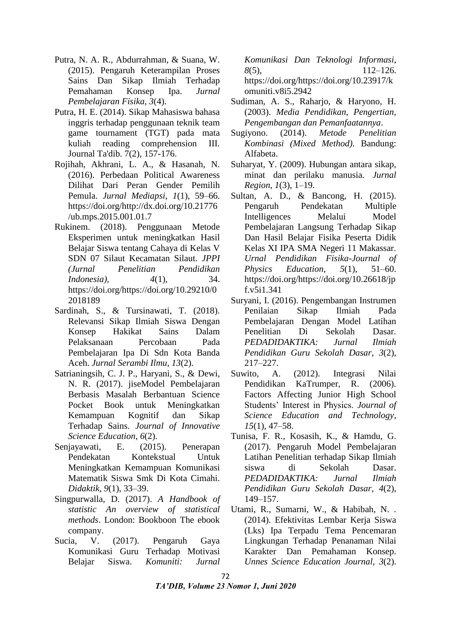- Putra, N. A. R., Abdurrahman, & Suana, W. (2015). Pengaruh Keterampilan Proses Sains Dan Sikap Ilmiah Terhadap Pemahaman Konsep Ipa. *Jurnal Pembelajaran Fisika*, *3*(4).
- Putra, H. E. (2014). Sikap Mahasiswa bahasa inggris terhadap penggunaan teknik team game tournament (TGT) pada mata kuliah reading comprehension III. Journal Ta'dib. 7(2), 157-176.
- Rojihah, Akhrani, L. A., & Hasanah, N. (2016). Perbedaan Political Awareness Dilihat Dari Peran Gender Pemilih Pemula. *Jurnal Mediapsi*, *1*(1), 59–66. https://doi.org/http://dx.doi.org/10.21776 /ub.mps.2015.001.01.7
- Rukinem. (2018). Penggunaan Metode Eksperimen untuk meningkatkan Hasil Belajar Siswa tentang Cahaya di Kelas V SDN 07 Silaut Kecamatan Silaut. *JPPI (Jurnal Penelitian Pendidikan Indonesia)*, *4*(1), 34. https://doi.org/https://doi.org/10.29210/0 2018189
- Sardinah, S., & Tursinawati, T. (2018). Relevansi Sikap Ilmiah Siswa Dengan Konsep Hakikat Sains Dalam Pelaksanaan Percobaan Pada Pembelajaran Ipa Di Sdn Kota Banda Aceh. *Jurnal Serambi Ilmu*, *13*(2).
- Satrianingsih, C. J. P., Haryani, S., & Dewi, N. R. (2017). jiseModel Pembelajaran Berbasis Masalah Berbantuan Science Pocket Book untuk Meningkatkan Kemampuan Kognitif dan Sikap Terhadap Sains. *Journal of Innovative Science Education*, *6*(2).
- Senjayawati, E. (2015). Penerapan Pendekatan Kontekstual Untuk Meningkatkan Kemampuan Komunikasi Matematik Siswa Smk Di Kota Cimahi. *Didaktik*, *9*(1), 33–39.
- Singpurwalla, D. (2017). *A Handbook of statistic An overview of statistical methods*. London: Bookboon The ebook company.
- Sucia, V. (2017). Pengaruh Gaya Komunikasi Guru Terhadap Motivasi Belajar Siswa. *Komuniti: Jurnal*

*Komunikasi Dan Teknologi Informasi*, *8*(5), 112–126. https://doi.org/https://doi.org/10.23917/k omuniti.v8i5.2942

- Sudiman, A. S., Raharjo, & Haryono, H. (2003). *Media Pendidikan, Pengertian, Pengembangan dan Pemanfaatannya*.
- Sugiyono. (2014). *Metode Penelitian Kombinasi (Mixed Method)*. Bandung: Alfabeta.
- Suharyat, Y. (2009). Hubungan antara sikap, minat dan perilaku manusia. *Jurnal Region*, *1*(3), 1–19.
- Sultan, A. D., & Bancong, H. (2015). Pengaruh Pendekatan Multiple Intelligences Melalui Model Pembelajaran Langsung Terhadap Sikap Dan Hasil Belajar Fisika Peserta Didik Kelas XI IPA SMA Negeri 11 Makassar. *Urnal Pendidikan Fisika-Journal of Physics Education*, *5*(1), 51–60. https://doi.org/https://doi.org/10.26618/jp f.v5i1.341
- Suryani, I. (2016). Pengembangan Instrumen Penilaian Sikap Ilmiah Pada Pembelajaran Dengan Model Latihan Penelitian Di Sekolah Dasar. *PEDADIDAKTIKA: Jurnal Ilmiah Pendidikan Guru Sekolah Dasar*, *3*(2), 217–227.
- Suwito, A. (2012). Integrasi Nilai Pendidikan KaTrumper, R. (2006). Factors Affecting Junior High School Students' Interest in Physics. *Journal of Science Education and Technology*, *15*(1), 47–58.
- Tunisa, F. R., Kosasih, K., & Hamdu, G. (2017). Pengaruh Model Pembelajaran Latihan Penelitian terhadap Sikap Ilmiah siswa di Sekolah Dasar. *PEDADIDAKTIKA: Jurnal Ilmiah Pendidikan Guru Sekolah Dasar*, *4*(2), 149–157.
- Utami, R., Sumarni, W., & Habibah, N. . (2014). Efektivitas Lembar Kerja Siswa (Lks) Ipa Terpadu Tema Pencemaran Lingkungan Terhadap Penanaman Nilai Karakter Dan Pemahaman Konsep. *Unnes Science Education Journal*, *3*(2).
- 72